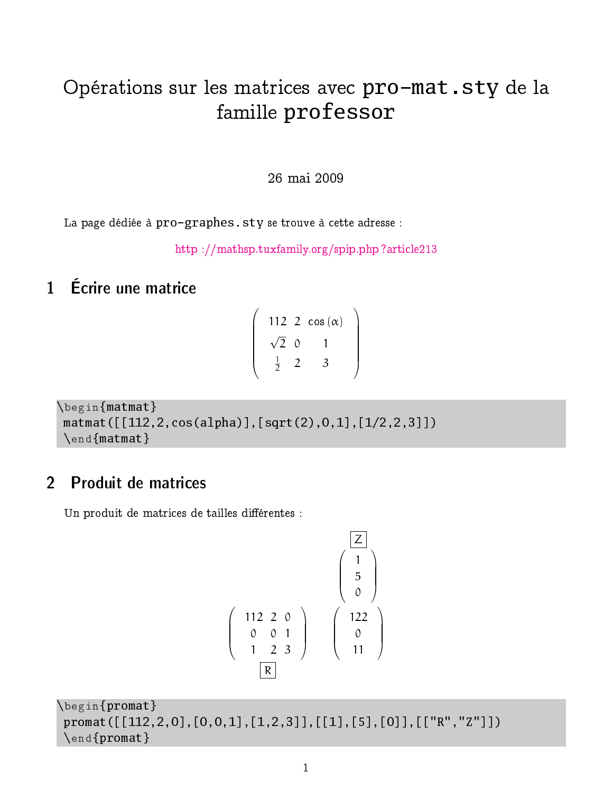# Opérations sur les matrices avec pro-mat.sty de la famille professor

26 mai 2009

La page dédiée à pro-graphes. sty se trouve à cette adresse :

[http ://mathsp.tuxfamily.org/spip.php ?article213](http://mathsp.tuxfamily.org/spip.php?article213)

## 1 Écrire une matrice

$$
\left(\begin{array}{ccc} 112 & 2 & \cos{(\alpha)} \\ \sqrt{2} & 0 & 1 \\ \frac{1}{2} & 2 & 3 \end{array}\right)
$$

```
\begin{matmat}
matmat([[112,2,cos(alpha)],[sqrt(2),0,1],[1/2,2,3]])
\end{matmat}
```
## 2 Produit de matrices

Un produit de matrices de tailles différentes :

$$
\begin{pmatrix}\n\boxed{2} \\
1 \\
5 \\
0 \\
0 \\
1 & 2 & 3\n\end{pmatrix}\n\begin{pmatrix}\n\boxed{2} \\
1 \\
5 \\
0 \\
0 \\
11\n\end{pmatrix}
$$

```
\begin{promat}
promat([[112,2,0],[0,0,1],[1,2,3]],[[1],[5],[0]],[["R","Z"]])
 \end{promat}
```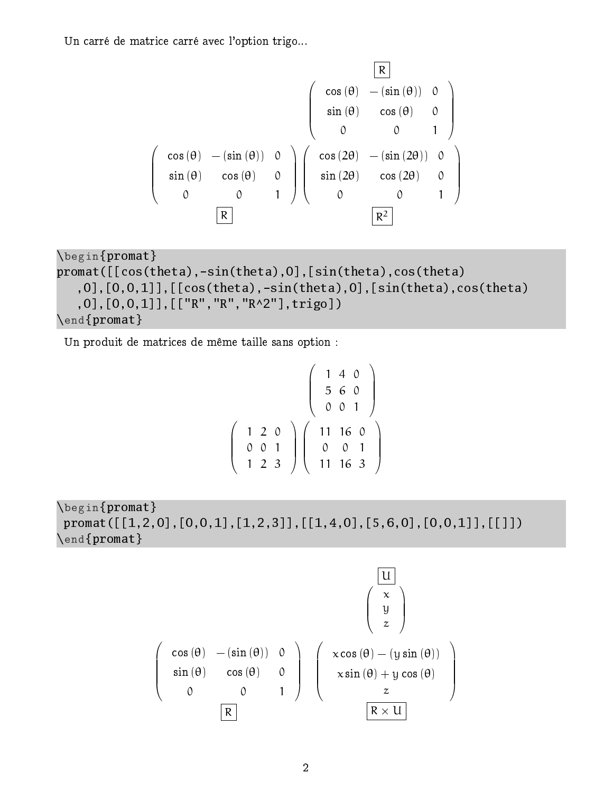Un carré de matrice carré avec l'option trigo...

$$
\begin{pmatrix}\n & & & & & \boxed{R} \\
 & & & & & & \\
 & & \sin(\theta) & -(\sin(\theta)) & 0 \\
 & & & \sin(\theta) & \cos(\theta) & 0 \\
 & & & \sin(\theta) & \cos(\theta) & 0 \\
 & & & 0 & 1\n\end{pmatrix}
$$
\n
$$
\begin{pmatrix}\n\cos(2\theta) & -(\sin(2\theta)) & 0 \\
\sin(2\theta) & \cos(2\theta) & 0 \\
 & & 0 & 1\n\end{pmatrix}
$$
\n
$$
\begin{pmatrix}\n\cos(2\theta) & -(\sin(2\theta)) & 0 \\
\sin(2\theta) & \cos(2\theta) & 0 \\
 & 0 & 0 & 1\n\end{pmatrix}
$$

```
\begin{promat}
promat([[cos(theta),-sin(theta),0],[sin(theta),cos(theta)
   ,0],[0,0,1]],[cos(theta),-sin(theta),0],[sin(theta),cos(theta),0],[0,0,1]],[["R","R","R^2"],trigo])
\end{promat}
```
Un produit de matrices de même taille sans option :

$$
\left(\begin{array}{c}\n1 & 4 & 0 \\
5 & 6 & 0 \\
0 & 0 & 1 \\
1 & 2 & 3\n\end{array}\right)\n\left(\begin{array}{c}\n1 & 4 & 0 \\
5 & 6 & 0 \\
0 & 0 & 1 \\
1 & 16 & 3\n\end{array}\right)
$$

\begin{promat} promat([[1,2,0],[0,0,1],[1,2,3]],[[1,4,0],[5,6,0],[0,0,1]],[[]]) \end{promat}

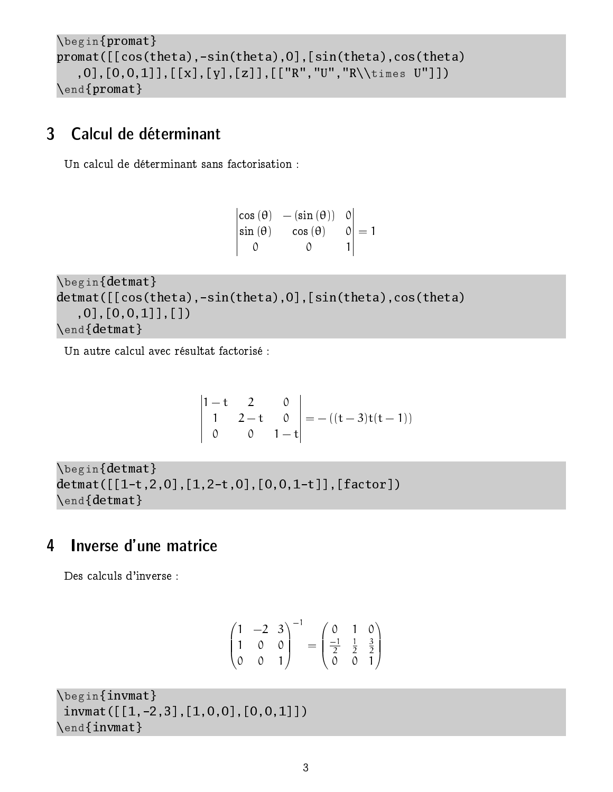```
\begin{promat}
promat([[cos(theta),-sin(theta),0],[sin(theta),cos(theta)
   ,0],[0,0,1]],[[x],[y],[z]],[["R","U","R\\times U"]])
\end{promat}
```
#### 3 Calcul de déterminant

Un calcul de déterminant sans factorisation :

 $\begin{vmatrix} \cos(\theta) & -(\sin(\theta)) & 0 \end{vmatrix}$  $\begin{vmatrix} \sin(\theta) & \cos(\theta) & 0 \end{vmatrix}$  $\overline{\phantom{a}}$  $\overline{\phantom{a}}$  $\overline{\phantom{a}}$ 0 0  $\vert$  = 1  $\begin{array}{c} \hline \end{array}$ 

\begin{detmat}  $d$ etmat( $[$ [cos(theta),-sin(theta),0],[sin(theta),cos(theta) ,0],[0,0,1]],[]) \end{detmat}

Un autre calcul avec résultat factorisé :

$$
\begin{vmatrix} 1-t & 2 & 0 \\ 1 & 2-t & 0 \\ 0 & 0 & 1-t \end{vmatrix} = -((t-3)t(t-1))
$$

\begin{detmat}  $d$ etmat( $[[1-t,2,0],[1,2-t,0],[0,0,1-t]],$ [factor]) \end{detmat}

#### 4 Inverse d'une matrice

Des calculs d'inverse :

$$
\begin{pmatrix} 1 & -2 & 3 \ 1 & 0 & 0 \ 0 & 0 & 1 \end{pmatrix}^{-1} = \begin{pmatrix} 0 & 1 & 0 \ \frac{-1}{2} & \frac{1}{2} & \frac{3}{2} \\ 0 & 0 & 1 \end{pmatrix}
$$

\begin{invmat}  $invmat([[1,-2,3],[1,0,0],[0,0,1]])$ \end{invmat}